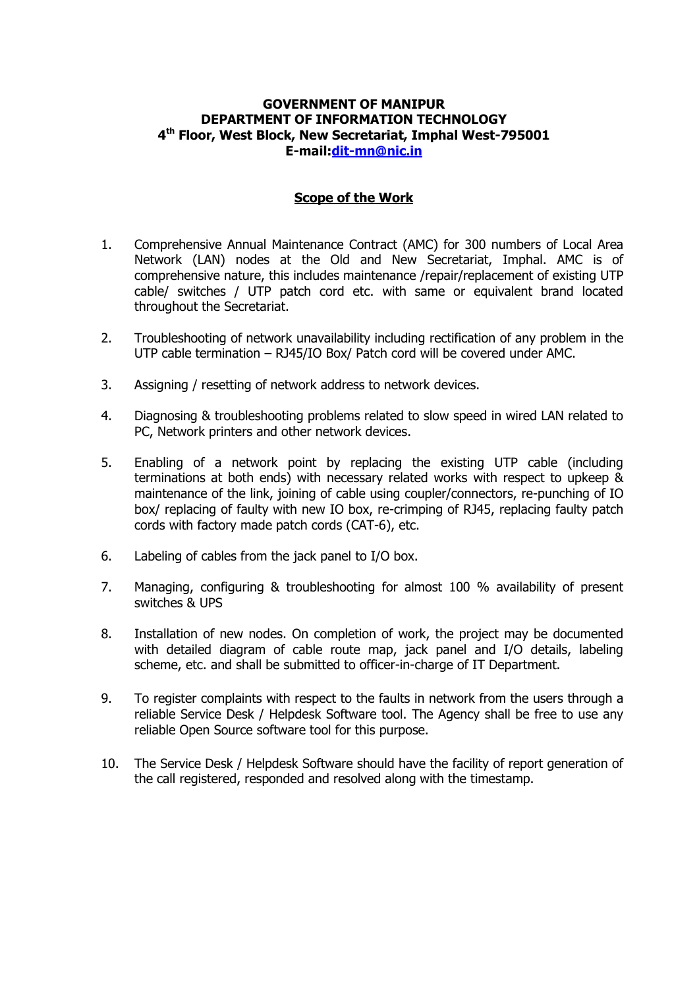#### **GOVERNMENT OF MANIPUR DEPARTMENT OF INFORMATION TECHNOLOGY 4 th Floor, West Block, New Secretariat, Imphal West-795001 E-mail[:dit-mn@nic.in](mailto:dit-mn@nic.in)**

#### **Scope of the Work**

- 1. Comprehensive Annual Maintenance Contract (AMC) for 300 numbers of Local Area Network (LAN) nodes at the Old and New Secretariat, Imphal. AMC is of comprehensive nature, this includes maintenance /repair/replacement of existing UTP cable/ switches / UTP patch cord etc. with same or equivalent brand located throughout the Secretariat.
- 2. Troubleshooting of network unavailability including rectification of any problem in the UTP cable termination – RJ45/IO Box/ Patch cord will be covered under AMC.
- 3. Assigning / resetting of network address to network devices.
- 4. Diagnosing & troubleshooting problems related to slow speed in wired LAN related to PC, Network printers and other network devices.
- 5. Enabling of a network point by replacing the existing UTP cable (including terminations at both ends) with necessary related works with respect to upkeep & maintenance of the link, joining of cable using coupler/connectors, re-punching of IO box/ replacing of faulty with new IO box, re-crimping of RJ45, replacing faulty patch cords with factory made patch cords (CAT-6), etc.
- 6. Labeling of cables from the jack panel to I/O box.
- 7. Managing, configuring & troubleshooting for almost 100 % availability of present switches & UPS
- 8. Installation of new nodes. On completion of work, the project may be documented with detailed diagram of cable route map, jack panel and I/O details, labeling scheme, etc. and shall be submitted to officer-in-charge of IT Department.
- 9. To register complaints with respect to the faults in network from the users through a reliable Service Desk / Helpdesk Software tool. The Agency shall be free to use any reliable Open Source software tool for this purpose.
- 10. The Service Desk / Helpdesk Software should have the facility of report generation of the call registered, responded and resolved along with the timestamp.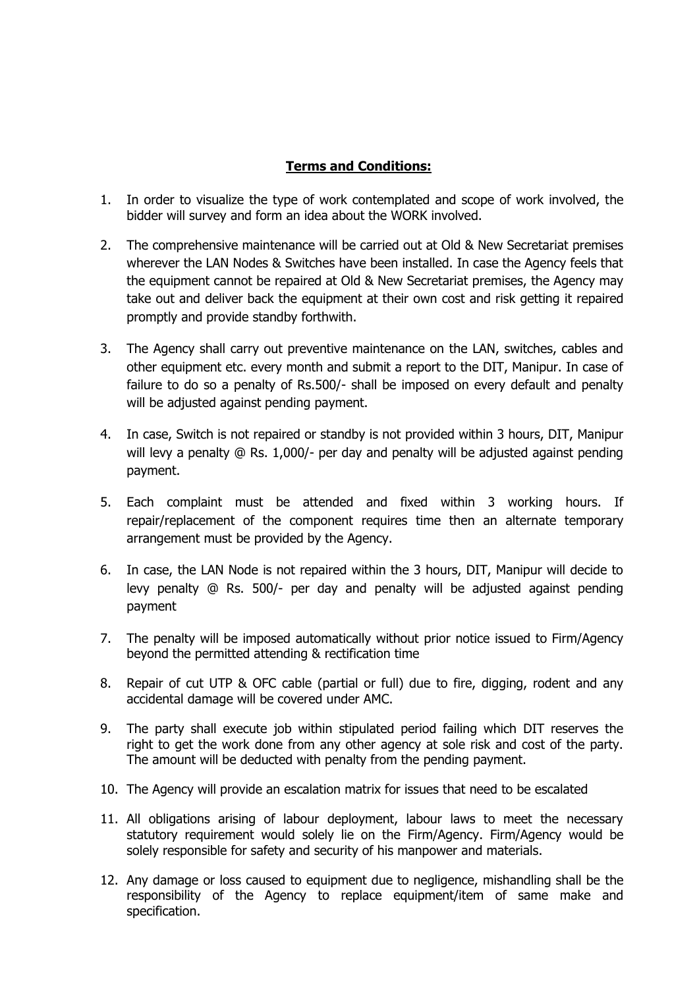### **Terms and Conditions:**

- 1. In order to visualize the type of work contemplated and scope of work involved, the bidder will survey and form an idea about the WORK involved.
- 2. The comprehensive maintenance will be carried out at Old & New Secretariat premises wherever the LAN Nodes & Switches have been installed. In case the Agency feels that the equipment cannot be repaired at Old & New Secretariat premises, the Agency may take out and deliver back the equipment at their own cost and risk getting it repaired promptly and provide standby forthwith.
- 3. The Agency shall carry out preventive maintenance on the LAN, switches, cables and other equipment etc. every month and submit a report to the DIT, Manipur. In case of failure to do so a penalty of Rs.500/- shall be imposed on every default and penalty will be adjusted against pending payment.
- 4. In case, Switch is not repaired or standby is not provided within 3 hours, DIT, Manipur will levy a penalty @ Rs. 1,000/- per day and penalty will be adjusted against pending payment.
- 5. Each complaint must be attended and fixed within 3 working hours. If repair/replacement of the component requires time then an alternate temporary arrangement must be provided by the Agency.
- 6. In case, the LAN Node is not repaired within the 3 hours, DIT, Manipur will decide to levy penalty @ Rs. 500/- per day and penalty will be adjusted against pending payment
- 7. The penalty will be imposed automatically without prior notice issued to Firm/Agency beyond the permitted attending & rectification time
- 8. Repair of cut UTP & OFC cable (partial or full) due to fire, digging, rodent and any accidental damage will be covered under AMC.
- 9. The party shall execute job within stipulated period failing which DIT reserves the right to get the work done from any other agency at sole risk and cost of the party. The amount will be deducted with penalty from the pending payment.
- 10. The Agency will provide an escalation matrix for issues that need to be escalated
- 11. All obligations arising of labour deployment, labour laws to meet the necessary statutory requirement would solely lie on the Firm/Agency. Firm/Agency would be solely responsible for safety and security of his manpower and materials.
- 12. Any damage or loss caused to equipment due to negligence, mishandling shall be the responsibility of the Agency to replace equipment/item of same make and specification.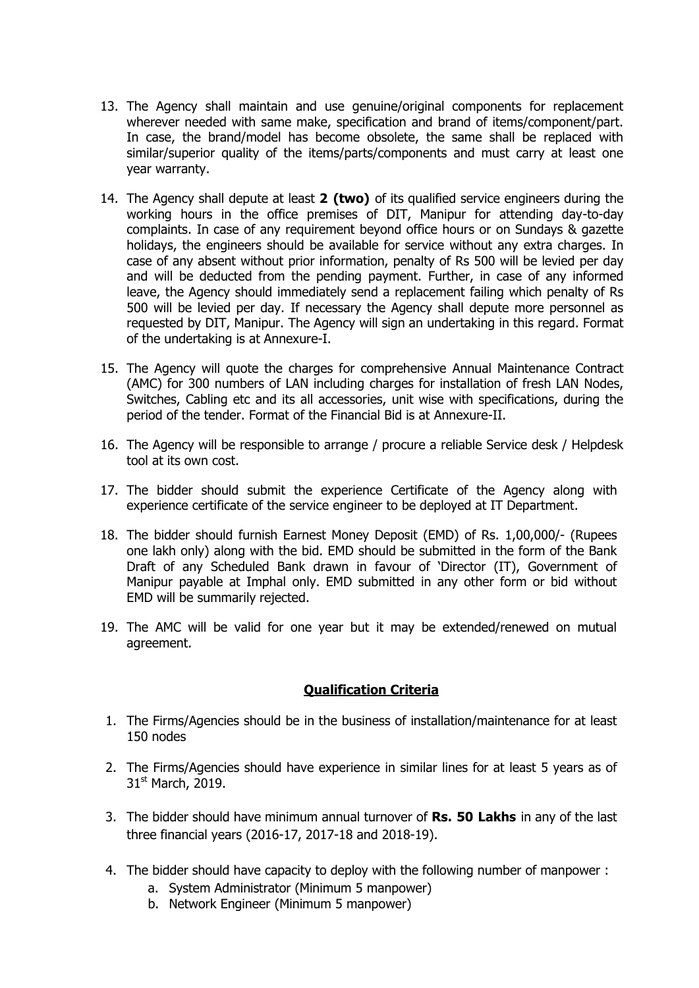- 13. The Agency shall maintain and use genuine/original components for replacement wherever needed with same make, specification and brand of items/component/part. In case, the brand/model has become obsolete, the same shall be replaced with similar/superior quality of the items/parts/components and must carry at least one year warranty.
- 14. The Agency shall depute at least **2 (two)** of its qualified service engineers during the working hours in the office premises of DIT, Manipur for attending day-to-day complaints. In case of any requirement beyond office hours or on Sundays & gazette holidays, the engineers should be available for service without any extra charges. In case of any absent without prior information, penalty of Rs 500 will be levied per day and will be deducted from the pending payment. Further, in case of any informed leave, the Agency should immediately send a replacement failing which penalty of Rs 500 will be levied per day. If necessary the Agency shall depute more personnel as requested by DIT, Manipur. The Agency will sign an undertaking in this regard. Format of the undertaking is at Annexure-I.
- 15. The Agency will quote the charges for comprehensive Annual Maintenance Contract (AMC) for 300 numbers of LAN including charges for installation of fresh LAN Nodes, Switches, Cabling etc and its all accessories, unit wise with specifications, during the period of the tender. Format of the Financial Bid is at Annexure-II.
- 16. The Agency will be responsible to arrange / procure a reliable Service desk / Helpdesk tool at its own cost.
- 17. The bidder should submit the experience Certificate of the Agency along with experience certificate of the service engineer to be deployed at IT Department.
- 18. The bidder should furnish Earnest Money Deposit (EMD) of Rs. 1,00,000/- (Rupees one lakh only) along with the bid. EMD should be submitted in the form of the Bank Draft of any Scheduled Bank drawn in favour of 'Director (IT), Government of Manipur payable at Imphal only. EMD submitted in any other form or bid without EMD will be summarily rejected.
- 19. The AMC will be valid for one year but it may be extended/renewed on mutual agreement.

## **Qualification Criteria**

- 1. The Firms/Agencies should be in the business of installation/maintenance for at least 150 nodes
- 2. The Firms/Agencies should have experience in similar lines for at least 5 years as of 31<sup>st</sup> March, 2019.
- 3. The bidder should have minimum annual turnover of **Rs. 50 Lakhs** in any of the last three financial years (2016-17, 2017-18 and 2018-19).
- 4. The bidder should have capacity to deploy with the following number of manpower :
	- a. System Administrator (Minimum 5 manpower)
	- b. Network Engineer (Minimum 5 manpower)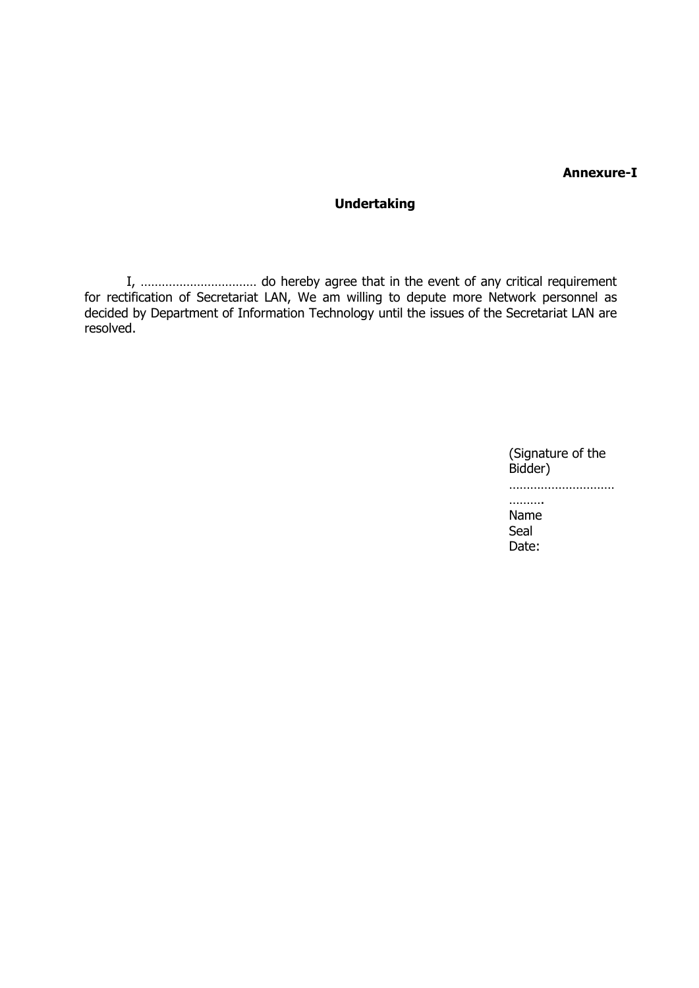#### **Annexure-I**

# **Undertaking**

I, …………………………… do hereby agree that in the event of any critical requirement for rectification of Secretariat LAN, We am willing to depute more Network personnel as decided by Department of Information Technology until the issues of the Secretariat LAN are resolved.

> (Signature of the Bidder) ………………………… ………

Name Seal Date: